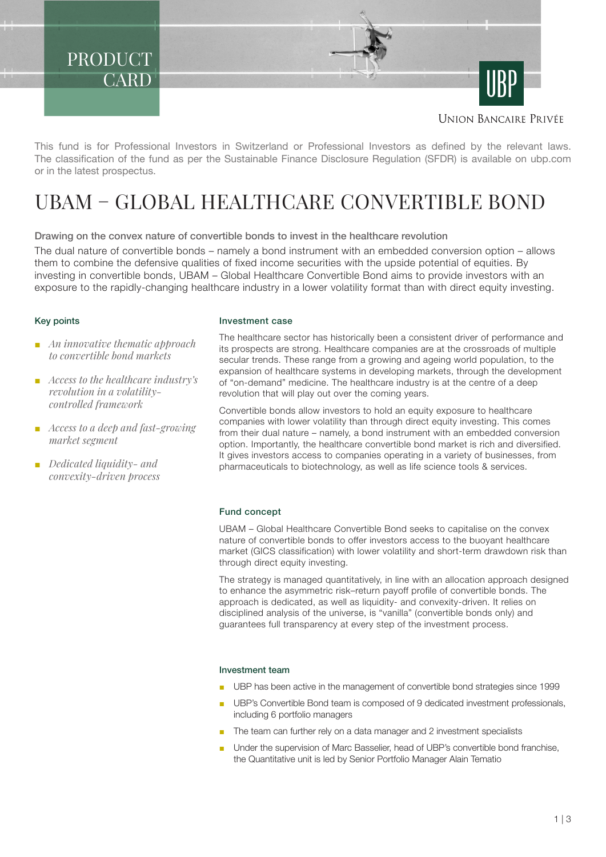PRODUCT **CARD** 

**UNION BANCAIRE PRIVÉE** 

This fund is for Professional Investors in Switzerland or Professional Investors as defined by the relevant laws. The classification of the fund as per the Sustainable Finance Disclosure Regulation (SFDR) is available on ubp.com or in the latest prospectus.

# UBAM – GLOBAL HEALTHCARE CONVERTIBLE BOND

Drawing on the convex nature of convertible bonds to invest in the healthcare revolution

The dual nature of convertible bonds – namely a bond instrument with an embedded conversion option – allows them to combine the defensive qualities of fixed income securities with the upside potential of equities. By investing in convertible bonds, UBAM – Global Healthcare Convertible Bond aims to provide investors with an exposure to the rapidly-changing healthcare industry in a lower volatility format than with direct equity investing.

# Key points

- *An innovative thematic approach to convertible bond markets*
- *Access to the healthcare industry's revolution in a volatilitycontrolled framework*
- *Access to a deep and fast-growing market segment*
- *Dedicated liquidity- and convexity-driven process*

### Investment case

The healthcare sector has historically been a consistent driver of performance and its prospects are strong. Healthcare companies are at the crossroads of multiple secular trends. These range from a growing and ageing world population, to the expansion of healthcare systems in developing markets, through the development of "on-demand" medicine. The healthcare industry is at the centre of a deep revolution that will play out over the coming years.

Convertible bonds allow investors to hold an equity exposure to healthcare companies with lower volatility than through direct equity investing. This comes from their dual nature – namely, a bond instrument with an embedded conversion option. Importantly, the healthcare convertible bond market is rich and diversified. It gives investors access to companies operating in a variety of businesses, from pharmaceuticals to biotechnology, as well as life science tools & services.

# Fund concept

UBAM – Global Healthcare Convertible Bond seeks to capitalise on the convex nature of convertible bonds to offer investors access to the buoyant healthcare market (GICS classification) with lower volatility and short-term drawdown risk than through direct equity investing.

The strategy is managed quantitatively, in line with an allocation approach designed to enhance the asymmetric risk–return payoff profile of convertible bonds. The approach is dedicated, as well as liquidity- and convexity-driven. It relies on disciplined analysis of the universe, is "vanilla" (convertible bonds only) and guarantees full transparency at every step of the investment process.

#### Investment team

- UBP has been active in the management of convertible bond strategies since 1999
- UBP's Convertible Bond team is composed of 9 dedicated investment professionals, including 6 portfolio managers
- The team can further rely on a data manager and 2 investment specialists
- Under the supervision of Marc Basselier, head of UBP's convertible bond franchise, the Quantitative unit is led by Senior Portfolio Manager Alain Tematio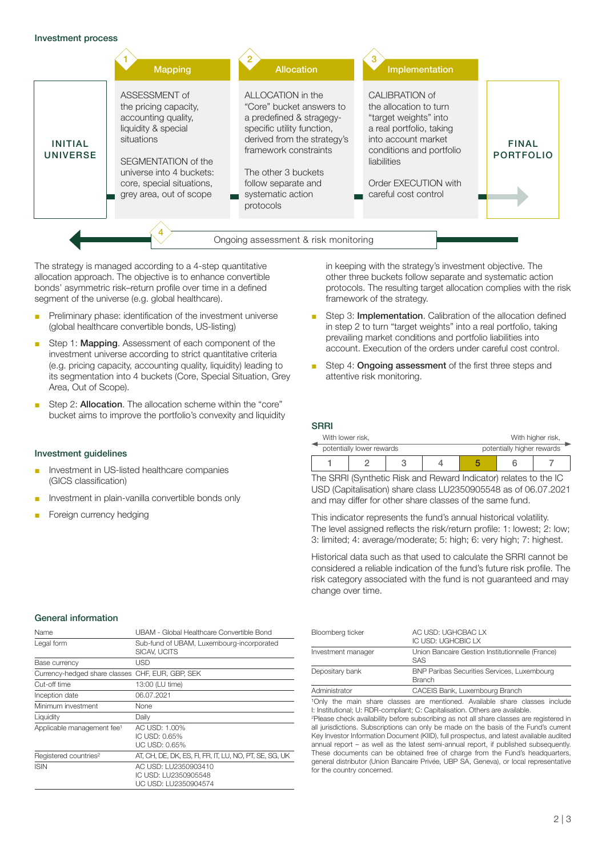

The strategy is managed according to a 4-step quantitative allocation approach. The objective is to enhance convertible bonds' asymmetric risk–return profile over time in a defined segment of the universe (e.g. global healthcare).

- Preliminary phase: identification of the investment universe (global healthcare convertible bonds, US-listing)
- Step 1: Mapping. Assessment of each component of the investment universe according to strict quantitative criteria (e.g. pricing capacity, accounting quality, liquidity) leading to its segmentation into 4 buckets (Core, Special Situation, Grey Area, Out of Scope).
- Step 2: **Allocation**. The allocation scheme within the "core" bucket aims to improve the portfolio's convexity and liquidity

# Investment guidelines

- Investment in US-listed healthcare companies (GICS classification)
- Investment in plain-vanilla convertible bonds only
- Foreign currency hedging

in keeping with the strategy's investment objective. The other three buckets follow separate and systematic action protocols. The resulting target allocation complies with the risk framework of the strategy.

- Step 3: Implementation. Calibration of the allocation defined in step 2 to turn "target weights" into a real portfolio, taking prevailing market conditions and portfolio liabilities into account. Execution of the orders under careful cost control.
- Step 4: Ongoing assessment of the first three steps and attentive risk monitoring.

#### **SRRI**

| With lower risk.          |  |  | With higher risk, |                            |  |  |
|---------------------------|--|--|-------------------|----------------------------|--|--|
| potentially lower rewards |  |  |                   | potentially higher rewards |  |  |
|                           |  |  |                   |                            |  |  |

The SRRI (Synthetic Risk and Reward Indicator) relates to the IC USD (Capitalisation) share class LU2350905548 as of 06.07.2021 and may differ for other share classes of the same fund.

This indicator represents the fund's annual historical volatility. The level assigned reflects the risk/return profile: 1: lowest; 2: low; 3: limited; 4: average/moderate; 5: high; 6: very high; 7: highest.

Historical data such as that used to calculate the SRRI cannot be considered a reliable indication of the fund's future risk profile. The risk category associated with the fund is not guaranteed and may change over time.

| Name                                             | UBAM - Global Healthcare Convertible Bond                            |
|--------------------------------------------------|----------------------------------------------------------------------|
| Legal form                                       | Sub-fund of UBAM, Luxembourg-incorporated<br>SICAV, UCITS            |
| Base currency                                    | USD                                                                  |
| Currency-hedged share classes CHF, EUR, GBP, SEK |                                                                      |
| Cut-off time                                     | 13:00 (LU time)                                                      |
| Inception date                                   | 06.07.2021                                                           |
| Minimum investment                               | None                                                                 |
| Liquidity                                        | Daily                                                                |
| Applicable management fee <sup>1</sup>           | AC USD: 1.00%<br>IC USD: 0.65%<br>UC USD: 0.65%                      |
| Registered countries <sup>2</sup>                | AT, CH, DE, DK, ES, FI, FR, IT, LU, NO, PT, SE, SG, UK               |
| <b>ISIN</b>                                      | AC USD: LU2350903410<br>IC USD: LU2350905548<br>UC USD: LU2350904574 |

| Bloomberg ticker   | AC USD: UGHCBAC LX<br>IC USD: UGHCBIC LX                       |
|--------------------|----------------------------------------------------------------|
| Investment manager | Union Bancaire Gestion Institutionnelle (France)<br><b>SAS</b> |
| Depositary bank    | <b>BNP Paribas Securities Services, Luxembourg</b><br>Branch   |
| Administrator      | CACEIS Bank, Luxembourg Branch                                 |

<sup>1</sup>Only the main share classes are mentioned. Available share classes include I: Institutional; U: RDR-compliant; C: Capitalisation. Others are available.

2 Please check availability before subscribing as not all share classes are registered in all jurisdictions. Subscriptions can only be made on the basis of the Fund's current Key Investor Information Document (KIID), full prospectus, and latest available audited annual report – as well as the latest semi-annual report, if published subsequently. These documents can be obtained free of charge from the Fund's headquarters, general distributor (Union Bancaire Privée, UBP SA, Geneva), or local representative for the country concerned.